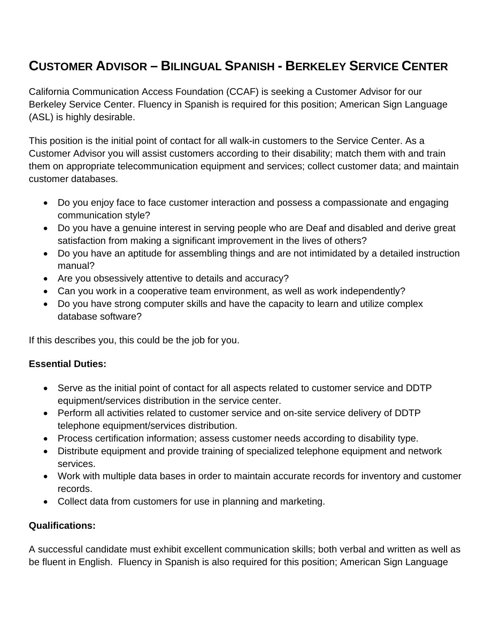# **CUSTOMER ADVISOR – BILINGUAL SPANISH - BERKELEY SERVICE CENTER**

California Communication Access Foundation (CCAF) is seeking a Customer Advisor for our Berkeley Service Center. Fluency in Spanish is required for this position; American Sign Language (ASL) is highly desirable.

This position is the initial point of contact for all walk-in customers to the Service Center. As a Customer Advisor you will assist customers according to their disability; match them with and train them on appropriate telecommunication equipment and services; collect customer data; and maintain customer databases.

- Do you enjoy face to face customer interaction and possess a compassionate and engaging communication style?
- Do you have a genuine interest in serving people who are Deaf and disabled and derive great satisfaction from making a significant improvement in the lives of others?
- Do you have an aptitude for assembling things and are not intimidated by a detailed instruction manual?
- Are you obsessively attentive to details and accuracy?
- Can you work in a cooperative team environment, as well as work independently?
- Do you have strong computer skills and have the capacity to learn and utilize complex database software?

If this describes you, this could be the job for you.

## **Essential Duties:**

- Serve as the initial point of contact for all aspects related to customer service and DDTP equipment/services distribution in the service center.
- Perform all activities related to customer service and on-site service delivery of DDTP telephone equipment/services distribution.
- Process certification information; assess customer needs according to disability type.
- Distribute equipment and provide training of specialized telephone equipment and network services.
- Work with multiple data bases in order to maintain accurate records for inventory and customer records.
- Collect data from customers for use in planning and marketing.

# **Qualifications:**

A successful candidate must exhibit excellent communication skills; both verbal and written as well as be fluent in English. Fluency in Spanish is also required for this position; American Sign Language